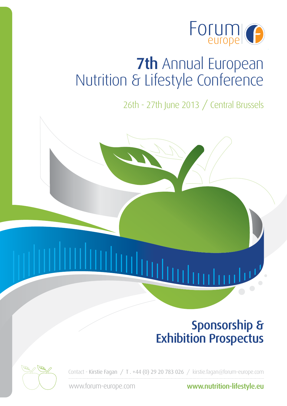

26th - 27th June 2013 / Central Brussels

## Sponsorship & Exhibition Prospectus

Contact - Kirstie Fagan / T . +44 (0) 29 20 783 026 / kirstie.fagan@forum-europe.com

www.forum-europe.com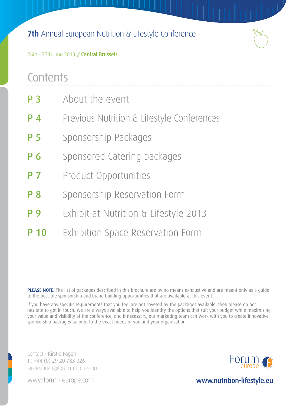

26th - 27th June 2013 / Central Brussels

## **Contents**

| <b>P3</b>      | About the event                            |
|----------------|--------------------------------------------|
| $P_4$          | Previous Nutrition & Lifestyle Conferences |
| P <sub>5</sub> | Sponsorship Packages                       |
| P 6            | Sponsored Catering packages                |
| P <sub>7</sub> | Product Opportunities                      |
| <b>P</b> 8     | Sponsorship Reservation Form               |
| <b>P</b> 9     | Exhibit at Nutrition & Lifestyle 2013      |
| P 10           | Exhibition Space Reservation Form          |

PLEASE NOTE: The list of packages described in this brochure are by no means exhaustive and are meant only as a quide to the possible sponsorship and brand building opportunities that are available at this event.

If you have any specific requirements that you feel are not covered by the packages available, then please do not hesitate to get in touch. We are always available to help you identify the options that suit your budget while maximising your value and visibility at the conference, and if necessary, our marketing team can work with you to create innovative sponsorship packages tailored to the exact needs of you and your organisation.

Contact - Kirstie Fagan T . +44 (0) 29 20 783 026 kirstie.fagan@forum-europe.com



www.forum-europe.com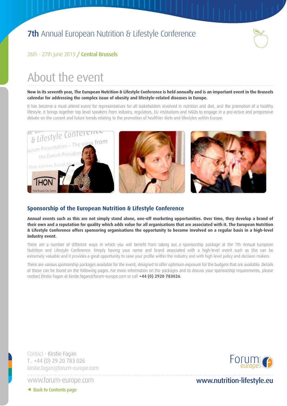

#### 26th - 27th June 2013 / Central Brussels

## About the event

**Now in its seventh year, The European Nutrition & Lifestyle Conference is held annually and is an important event in the Brussels calendar for addressing the complex issue of obesity and lifestyle-related diseases in Europe.**

It has become a must attend event for representatives for all stakeholders involved in nutrition and diet, and the promotion of a healthy lifestyle. It brings together top level speakers from industry, regulators, EU institutions and NGOs to engage in a pro-active and progressive debate on the current and future trends relating to the promotion of healthier diets and lifestyles within Europe.



#### **Sponsorship of the European Nutrition & Lifestyle Conference**

**Annual events such as this are not simply stand alone, one-off marketing opportunities. Over time, they develop a brand of their own and a reputation for quality which adds value for all organisations that are associated with it. The European Nutrition & Lifestyle Conference offers sponsoring organisations the opportunity to become involved on a regular basis in a high-level industry event.**

There are a number of different ways in which you will benefit from taking out a sponsorship package at the 7th Annual European Nutrition and Lifestyle Conference. Simply having your name and brand associated with a high-level event such as this can be extremely valuable and it provides a great opportunity to raise your profile within the industry and with high level policy and decision makers.

There are various sponsorship packages available for the event, designed to offer optimum exposure for the budgets that are available. Details of these can be found on the following pages. For more information on the packages and to discuss your sponsorship requirements, please contact Kirstie Fagan at kirstie.fagan@forum-europe.com or call **+44 (0) 2920 783026**.

Contact - Kirstie Fagan T . +44 (0) 29 20 783 026 kirstie.fagan@forum-europe.com

www.forum-europe.com



www.nutrition-lifestyle.eu

◆ Back to Contents page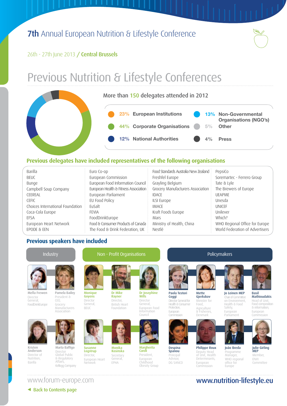$\mathbb{L}$ 

#### 26th - 27th June 2013 / Central Brussels

## Previous Nutrition & Lifestyle Conferences

#### More than 150 delegates attended in 2012

**23% European Institutions 44% Corporate Organisations 12% National Authorities 13% Non-Governmental Organisations (NGO's) 5% Other 4% Press**

#### **Previous delegates have included representatives of the following organisations**

| Barilla                          | Euro Co-op                            | Food Standards Australia New Zealand | PepsiCo                         |
|----------------------------------|---------------------------------------|--------------------------------------|---------------------------------|
| <b>BEUC</b>                      | European Commission                   | Freshfel Europe                      | Soremartec - Ferrero Group      |
| Bunge                            | European Food Information Council     | Grayling Belgium                     | Tate & Lyle                     |
| Campbell Soup Company            | European Health & Fitness Association | Grocery Manufacturers Association    | The Brewers of Europe           |
| CEEREAL                          | European Parliament                   | <b>IDACE</b>                         | <b>UEAPME</b>                   |
| <b>CEEIC</b>                     | EU Food Policy                        | ILSI Europe                          | Unesda                          |
| Choices International Foundation | EuSalt                                | IMACF                                | <b>UNICEE</b>                   |
| Coca-Cola Europe                 | <b>FFVIA</b>                          | Kraft Foods Europe                   | Unilever                        |
| <b>FFSA</b>                      | FoodDrinkEurope                       | Mars                                 | Which?                          |
| European Heart Network           | Food & Consumer Products of Canada    | Ministry of Health, China            | WHO Regional Office for Europe  |
| EPODE & EEN                      | The Food & Drink Federation, UK       | Nestlé                               | World Federation of Advertisers |

#### **Previous speakers have included**





### www.forum-europe.com **www.nutrition-lifestyle.eu**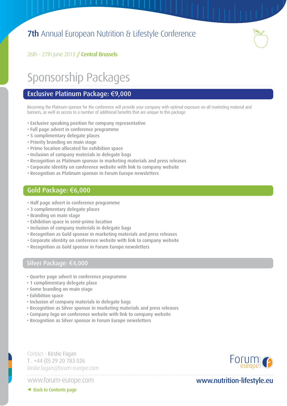

26th - 27th June 2013 / Central Brussels

## Sponsorship Packages

#### Exclusive Platinum Package: €9,000

Becoming the Platinum sponsor for the conference will provide your company with optimal exposure on all marketing material and banners, as well as access to a number of additional benefits that are unique to this package.

- Exclusive speaking position for company representative
- Full page advert in conference programme
- 5 complimentary delegate places
- Priority branding on main stage
- Prime location allocated for exhibition space
- Inclusion of company materials in delegate bags
- Recognition as Platinum sponsor in marketing materials and press releases
- Corporate identity on conference website with link to company website
- Recognition as Platinum sponsor in Forum Europe newsletters

#### Gold Package: €6,000

- Half page advert in conference programme
- 3 complimentary delegate places
- Branding on main stage
- Exhibition space in semi-prime location
- Inclusion of company materials in delegate bags
- Recognition as Gold sponsor in marketing materials and press releases
- Corporate identity on conference website with link to company website
- Recognition as Gold sponsor in Forum Europe newsletters

#### Silver Package: €4,000

- Quarter page advert in conference programme
- 1 complimentary delegate place
- Some branding on main stage
- Exhibition space
- Inclusion of company materials in delegate bags
- Recognition as Silver sponsor in marketing materials and press releases
- Company logo on conference website with link to company website
- Recognition as Silver sponsor in Forum Europe newsletters

Contact - Kirstie Fagan T . +44 (0) 29 20 783 026 kirstie.fagan@forum-europe.com

www.forum-europe.com



### www.nutrition-lifestyle.eu

< Back to Contents page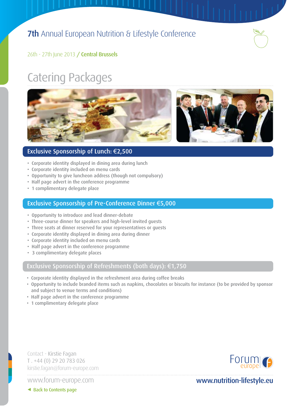

#### 26th - 27th June 2013 / Central Brussels

## Catering Packages



#### Exclusive Sponsorship of Lunch: €2,500

- Corporate identity displayed in dining area during lunch
- Corporate identity included on menu cards
- Opportunity to give luncheon address (though not compulsory)
- Half page advert in the conference programme
- 1 complimentary delegate place

#### Exclusive Sponsorship of Pre-Conference Dinner €5,000

- Opportunity to introduce and lead dinner-debate
- Three-course dinner for speakers and high-level invited guests
- Three seats at dinner reserved for your representatives or guests
- Corporate identity displayed in dining area during dinner
- Corporate identity included on menu cards
- Half page advert in the conference programme
- 3 complimentary delegate places

#### Exclusive Sponsorship of Refreshments (both days): €1,750

- Corporate identity displayed in the refreshment area during coffee breaks
- Opportunity to include branded items such as napkins, chocolates or biscuits for instance (to be provided by sponsor and subject to venue terms and conditions)
- Half page advert in the conference programme
- 1 complimentary delegate place

Contact - Kirstie Fagan T . +44 (0) 29 20 783 026 kirstie.fagan@forum-europe.com

www.forum-europe.com



www.nutrition-lifestyle.eu

< Back to Contents page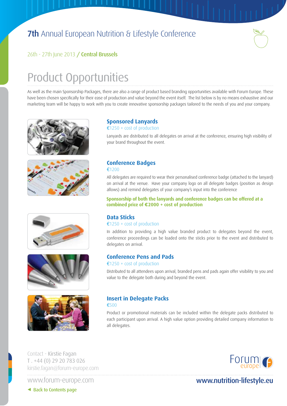

#### 26th - 27th June 2013 / Central Brussels

## Product Opportunities

As well as the main Sponsorship Packages, there are also a range of product based branding opportunities available with Forum Europe. These have been chosen specifically for their ease of production and value beyond the event itself. The list below is by no means exhaustive and our marketing team will be happy to work with you to create innovative sponsorship packages tailored to the needs of you and your company.











#### **Sponsored Lanyards**

#### €1250 + cost of production

Lanyards are distributed to all delegates on arrival at the conference, ensuring high visibility of your brand throughout the event.

#### **Conference Badges** €1200

All delegates are required to wear their personalised conference badge (attached to the lanyard) on arrival at the venue. Have your company logo on all delegate badges (position as design allows) and remind delegates of your company's input into the conference

**Sponsorship of both the lanyards and conference badges can be offered at a combined price of €2000 + cost of production**

#### **Data Sticks**

€1250 + cost of production

In addition to providing a high value branded product to delegates beyond the event, conference proceedings can be loaded onto the sticks prior to the event and distributed to delegates on arrival.

#### **Conference Pens and Pads**

#### €1250 + cost of production

Distributed to all attendees upon arrival, branded pens and pads again offer visibility to you and value to the delegate both during and beyond the event.

#### **Insert in Delegate Packs**

#### €500

Product or promotional materials can be included within the delegate packs distributed to each participant upon arrival. A high value option providing detailed company information to all delegates.

Contact - Kirstie Fagan T . +44 (0) 29 20 783 026 kirstie.fagan@forum-europe.com

www.forum-europe.com



### www.nutrition-lifestyle.eu

< Back to Contents page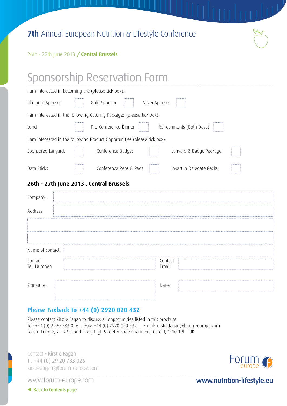

#### 26th - 27th June 2013 / Central Brussels

## Sponsorship Reservation Form I am interested in becoming the (please tick box):

|                         | I am interested in becoming the (prease tick box).                        |  |  |  |  |
|-------------------------|---------------------------------------------------------------------------|--|--|--|--|
| Platinum Sponsor        | Gold Sponsor<br>Silver Sponsor                                            |  |  |  |  |
|                         | I am interested in the following Catering Packages (please tick box):     |  |  |  |  |
| Lunch                   | Pre-Conference Dinner<br>Refreshments (Both Days)                         |  |  |  |  |
|                         | I am interested in the following Product Opportunities (please tick box): |  |  |  |  |
| Sponsored Lanyards      | Conference Badges<br>Lanyard & Badge Package                              |  |  |  |  |
| Data Sticks             | Conference Pens & Pads<br>Insert in Delegate Packs                        |  |  |  |  |
|                         | 26th - 27th June 2013 . Central Brussels                                  |  |  |  |  |
| Company:                |                                                                           |  |  |  |  |
| Address:                |                                                                           |  |  |  |  |
|                         |                                                                           |  |  |  |  |
|                         |                                                                           |  |  |  |  |
| Name of contact:        |                                                                           |  |  |  |  |
| Contact<br>Tel. Number: | Contact<br>Email:                                                         |  |  |  |  |
|                         |                                                                           |  |  |  |  |
| Signature:              | Date:                                                                     |  |  |  |  |

#### **Please Faxback to +44 (0) 2920 020 432**

Please contact Kirstie Fagan to discuss all opportunities listed in this brochure. Tel: +44 (0) 2920 783 026 . Fax: +44 (0) 2920 020 432 . Email: kirstie.fagan@forum-europe.com Forum Europe, 2 - 4 Second Floor, High Street Arcade Chambers, Cardiff, CF10 1BE. UK

Contact - Kirstie Fagan T . +44 (0) 29 20 783 026 kirstie.fagan@forum-europe.com

www.forum-europe.com



www.nutrition-lifestyle.eu

◆ Back to Contents page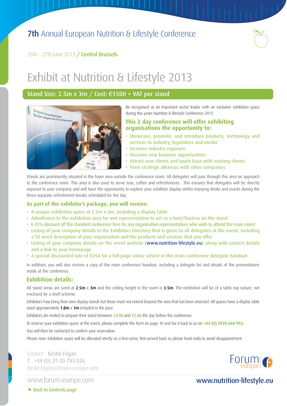

26th - 27th June 2013 / Central Brussels

## Exhibit at Nutrition & Lifestyle 2013

#### Stand Size: 2.5m x 3m / Cost: €1500 + VAT per stand



Be recognised as an important sector leader with an exclusive exhibition space during this years Nutrition & lifestyle Conference 2013.

#### **This 2 day conference will offer exhibiting organisations the opportunity to:**

- Showcase, promote, and introduce products, technology and services to industry, legislators and media
- Increase industry exposure
- Discover new business opportunities
- Attract new clients and touch base with existing clients
- Form strategic alliances with other companies

Stands are prominently situated in the foyer area outside the conference room. All delegates will pass through this area on approach to the conference room. This area is also used to serve teas, coffee and refreshments. This ensures that delegates will be directly exposed to your company and will have the opportunity to explore your exhibitor display whilst enjoying drinks and snacks during the three separate refreshment breaks scheduled for the day.

#### **As part of the exhibitor's package, you will receive:**

- A unique exhibition space of 2.5m x 3m, including a display table
- Admittance to the exhibition area for one representative to act as a host/hostess on the stand
- A 25% discount off the standard conference fees for any organisation representatives who wish to attend the main event
- Listing of your company details in the Exhibitors Directory that is given to all delegates at the event, including a 50 word description of your organisation and the products and services that you offer
- Listing of your company details on the event website (www.nutrition-lifestyle.eu) along with contact details and a link to your homepage
- A special discounted rate of €250 for a full page colour advert in the main conference delegate handout

In addition, you will also receive a copy of the main conference handout, including a delegate list and details of the presentations made at the conference.

#### **Exhibition details:**

All stand areas are sized at  $2.5m \times 3m$  and the ceiling height in the room is  $3.5m$ . The exhibition will be of a table top nature, not enclosed by a shell scheme.

Exhibitors may bring their own display stands but these must not extend beyond the area that has been reserved. All spaces have a display table sized approximately  $1.8m \times 1m$  included in the price.

Exhibitors are invited to prepare their stand between 14.00 and 17.00 the day before the conference.

To reserve your exhibition space at the event, please complete the form on page 10 and fax it back to us on **+44 (0) 2920 668 992.**

You will then be contacted to confirm your reservation.

Please note: Exhibition space will be allocated strictly on a first-come, first-served basis so please book early to avoid disappointment.

Contact - Kirstie Fagan T . +44 (0) 29 20 783 026 kirstie.fagan@forum-europe.com



Forum

< Back to Contents page